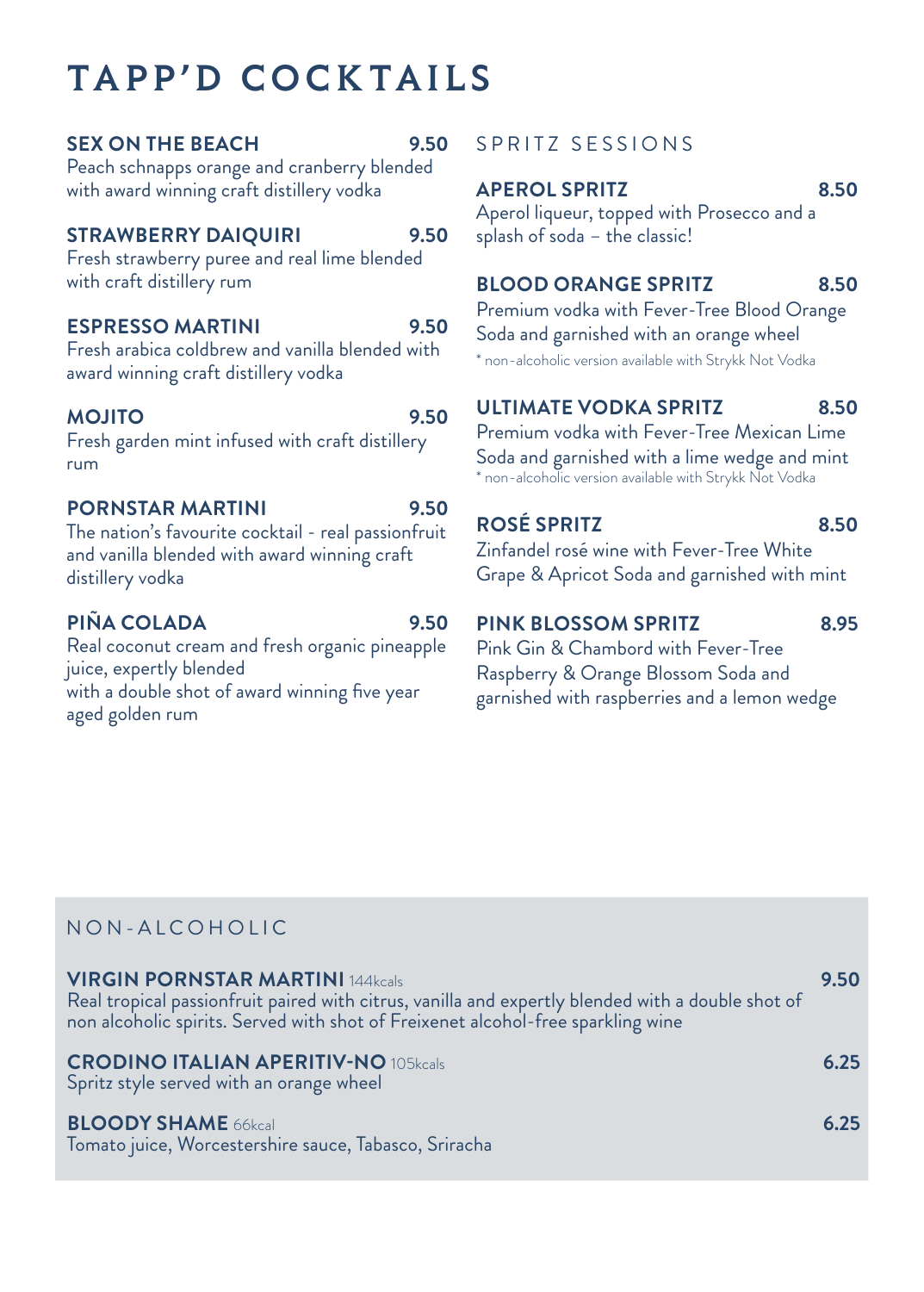# TAPP'D COCKTAILS

#### **SEX ON THE BEACH 9.50**

Peach schnapps orange and cranberry blended with award winning craft distillery vodka

#### **STRAWBERRY DAIQUIRI 9.50**

Fresh strawberry puree and real lime blended with craft distillery rum

#### **ESPRESSO MARTINI 9.50**

Fresh arabica coldbrew and vanilla blended with award winning craft distillery vodka

#### **MOJITO 9.50**

Fresh garden mint infused with craft distillery rum

#### **PORNSTAR MARTINI 9.50**

The nation's favourite cocktail - real passionfruit and vanilla blended with award winning craft distillery vodka

## **PIÑA COLADA 9.50**

Real coconut cream and fresh organic pineapple juice, expertly blended with a double shot of award winning five year aged golden rum

## SPRITZ SESSIONS

#### **APEROL SPRITZ 8.50**

Aperol liqueur, topped with Prosecco and a splash of soda – the classic!

## **BLOOD ORANGE SPRITZ 8.50**

Premium vodka with Fever-Tree Blood Orange Soda and garnished with an orange wheel \* non-alcoholic version available with Strykk Not Vodka

## **ULTIMATE VODKA SPRITZ 8.50**

Premium vodka with Fever-Tree Mexican Lime Soda and garnished with a lime wedge and mint \* non-alcoholic version available with Strykk Not Vodka

## **ROSÉ SPRITZ 8.50**

Zinfandel rosé wine with Fever-Tree White Grape & Apricot Soda and garnished with mint

## **PINK BLOSSOM SPRITZ 8.95**

Pink Gin & Chambord with Fever-Tree Raspberry & Orange Blossom Soda and garnished with raspberries and a lemon wedge

## NON-ALCOHOLIC

| <b>VIRGIN PORNSTAR MARTINI 144kcals</b><br>Real tropical passionfruit paired with citrus, vanilla and expertly blended with a double shot of<br>non alcoholic spirits. Served with shot of Freixenet alcohol-free sparkling wine | 9.50 |
|----------------------------------------------------------------------------------------------------------------------------------------------------------------------------------------------------------------------------------|------|
| <b>CRODINO ITALIAN APERITIV-NO 105kcals</b><br>Spritz style served with an orange wheel                                                                                                                                          | 6.25 |
| <b>BLOODY SHAME 66kcal</b><br>Tomato juice, Worcestershire sauce, Tabasco, Sriracha                                                                                                                                              | 6.25 |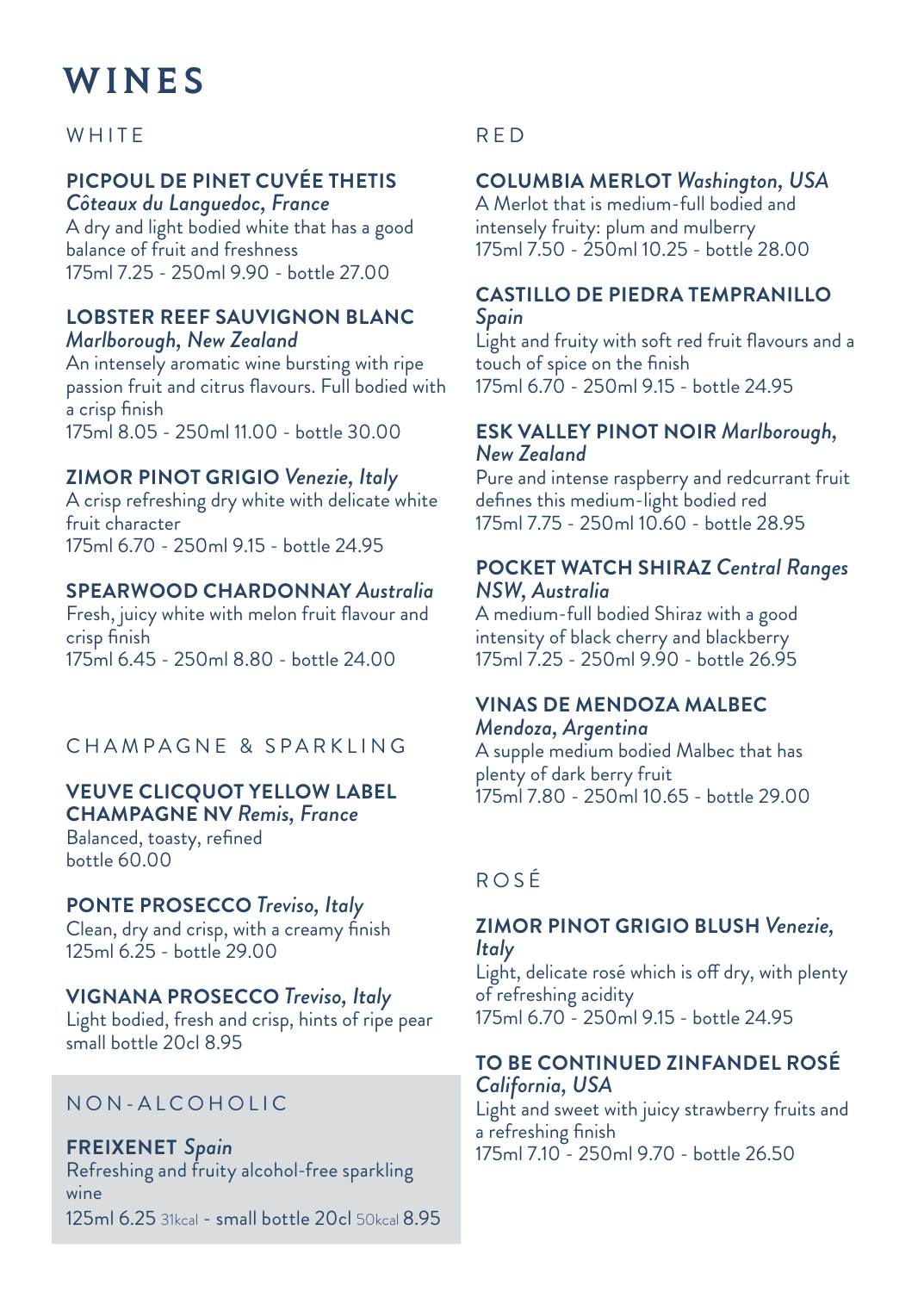# WINES

## **WHITE**

## **PICPOUL DE PINET CUVÉE THETIS**

*Côteaux du Languedoc, France* A dry and light bodied white that has a good balance of fruit and freshness 175ml 7.25 - 250ml 9.90 - bottle 27.00

#### **LOBSTER REEF SAUVIGNON BLANC** *Marlborough, New Zealand*

An intensely aromatic wine bursting with ripe passion fruit and citrus flavours. Full bodied with a crisp finish 175ml 8.05 - 250ml 11.00 - bottle 30.00

## **ZIMOR PINOT GRIGIO** *Venezie, Italy*

A crisp refreshing dry white with delicate white fruit character 175ml 6.70 - 250ml 9.15 - bottle 24.95

#### **SPEARWOOD CHARDONNAY** *Australia*

Fresh, juicy white with melon fruit flavour and crisp finish 175ml 6.45 - 250ml 8.80 - bottle 24.00

## CHAMPAGNE & SPARKLING

#### **VEUVE CLICQUOT YELLOW LABEL CHAMPAGNE NV** *Remis, France*

Balanced, toasty, refined bottle 60.00

#### **PONTE PROSECCO** *Treviso, Italy*

Clean, dry and crisp, with a creamy finish 125ml 6.25 - bottle 29.00

## **VIGNANA PROSECCO** *Treviso, Italy*

Light bodied, fresh and crisp, hints of ripe pear small bottle 20cl 8.95

## NON-ALCOHOLIC

**FREIXENET** *Spain* Refreshing and fruity alcohol-free sparkling wine 125ml 6.25 31kcal - small bottle 20cl 50kcal 8.95

## RED

## **COLUMBIA MERLOT** *Washington, USA*

A Merlot that is medium-full bodied and intensely fruity: plum and mulberry 175ml 7.50 - 250ml 10.25 - bottle 28.00

#### **CASTILLO DE PIEDRA TEMPRANILLO**  *Spain*

Light and fruity with soft red fruit flavours and a touch of spice on the finish 175ml 6.70 - 250ml 9.15 - bottle 24.95

#### **ESK VALLEY PINOT NOIR** *Marlborough, New Zealand*

Pure and intense raspberry and redcurrant fruit defines this medium-light bodied red 175ml 7.75 - 250ml 10.60 - bottle 28.95

#### **POCKET WATCH SHIRAZ** *Central Ranges NSW, Australia*

A medium-full bodied Shiraz with a good intensity of black cherry and blackberry 175ml 7.25 - 250ml 9.90 - bottle 26.95

#### **VINAS DE MENDOZA MALBEC**  *Mendoza, Argentina*

A supple medium bodied Malbec that has plenty of dark berry fruit 175ml 7.80 - 250ml 10.65 - bottle 29.00

## ROSÉ

#### **ZIMOR PINOT GRIGIO BLUSH** *Venezie, Italy*

Light, delicate rosé which is off dry, with plenty of refreshing acidity 175ml 6.70 - 250ml 9.15 - bottle 24.95

#### **TO BE CONTINUED ZINFANDEL ROSÉ** *California, USA*

Light and sweet with juicy strawberry fruits and a refreshing finish 175ml 7.10 - 250ml 9.70 - bottle 26.50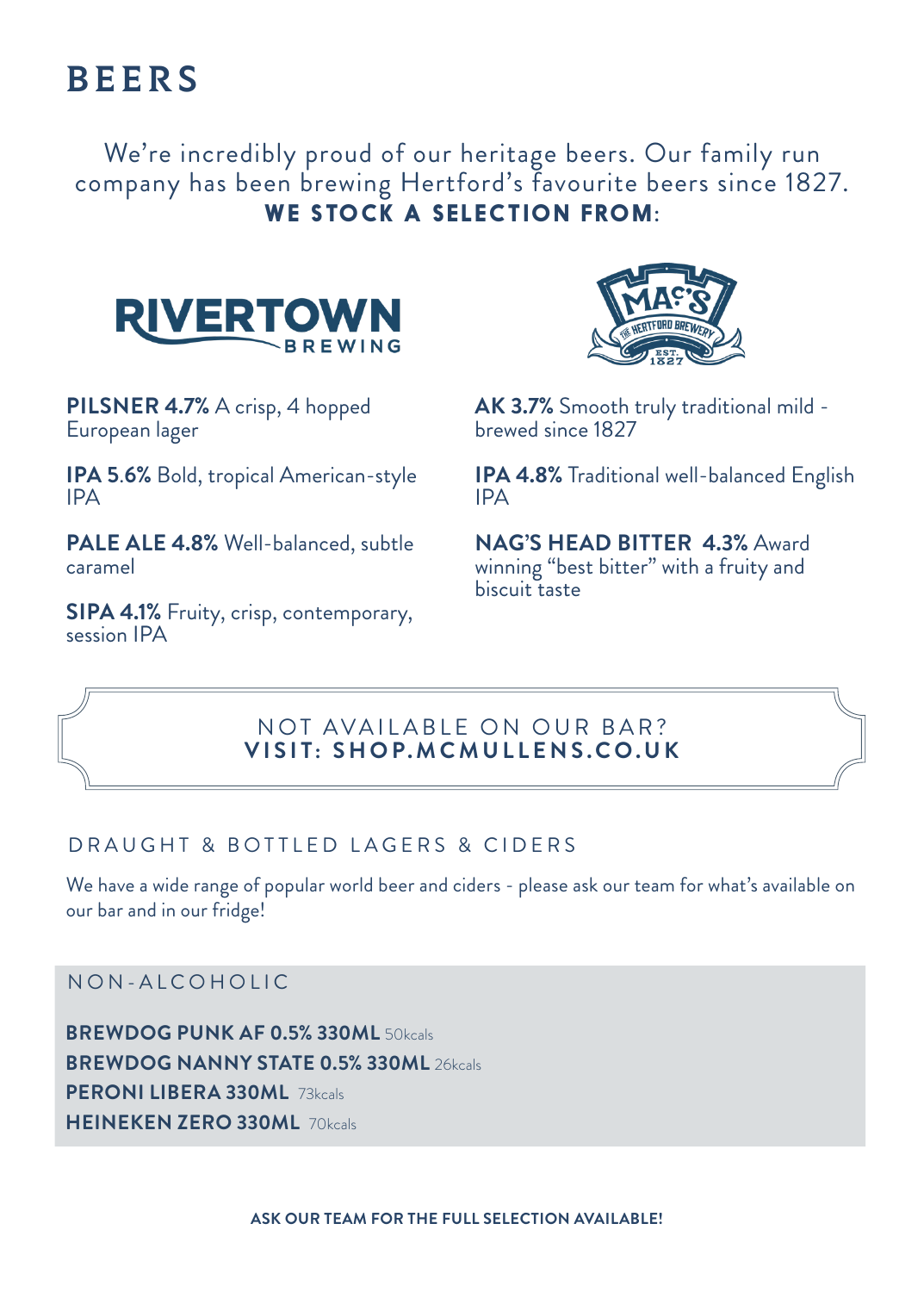# **BEERS**

We're incredibly proud of our heritage beers. Our family run company has been brewing Hertford's favourite beers since 1827. **WE STOCK A SELECTION FROM:**



**PILSNER 4.7%** A crisp, 4 hopped European lager

**IPA 5**.**6%** Bold, tropical American-style IPA

**PALE ALE 4.8%** Well-balanced, subtle caramel

**SIPA 4.1%** Fruity, crisp, contemporary, session IPA



**AK 3.7%** Smooth truly traditional mild brewed since 1827

**IPA 4.8%** Traditional well-balanced English IPA

**NAG'S HEAD BITTER 4.3%** Award winning "best bitter" with a fruity and biscuit taste

## NOT AVAILABLE ON OUR BAR? **VISIT: SHOP.MCMULLENS.CO.UK**

## DRAUGHT & BOTTLED LAGERS & CIDERS

We have a wide range of popular world beer and ciders - please ask our team for what's available on our bar and in our fridge!

NON-ALCOHOLIC

**BREWDOG PUNK AF 0.5% 330ML** 50kcals **BREWDOG NANNY STATE 0.5% 330ML** 26kcals **PERONI LIBERA 330ML** 73kcals **HEINEKEN ZERO 330ML** 70kcals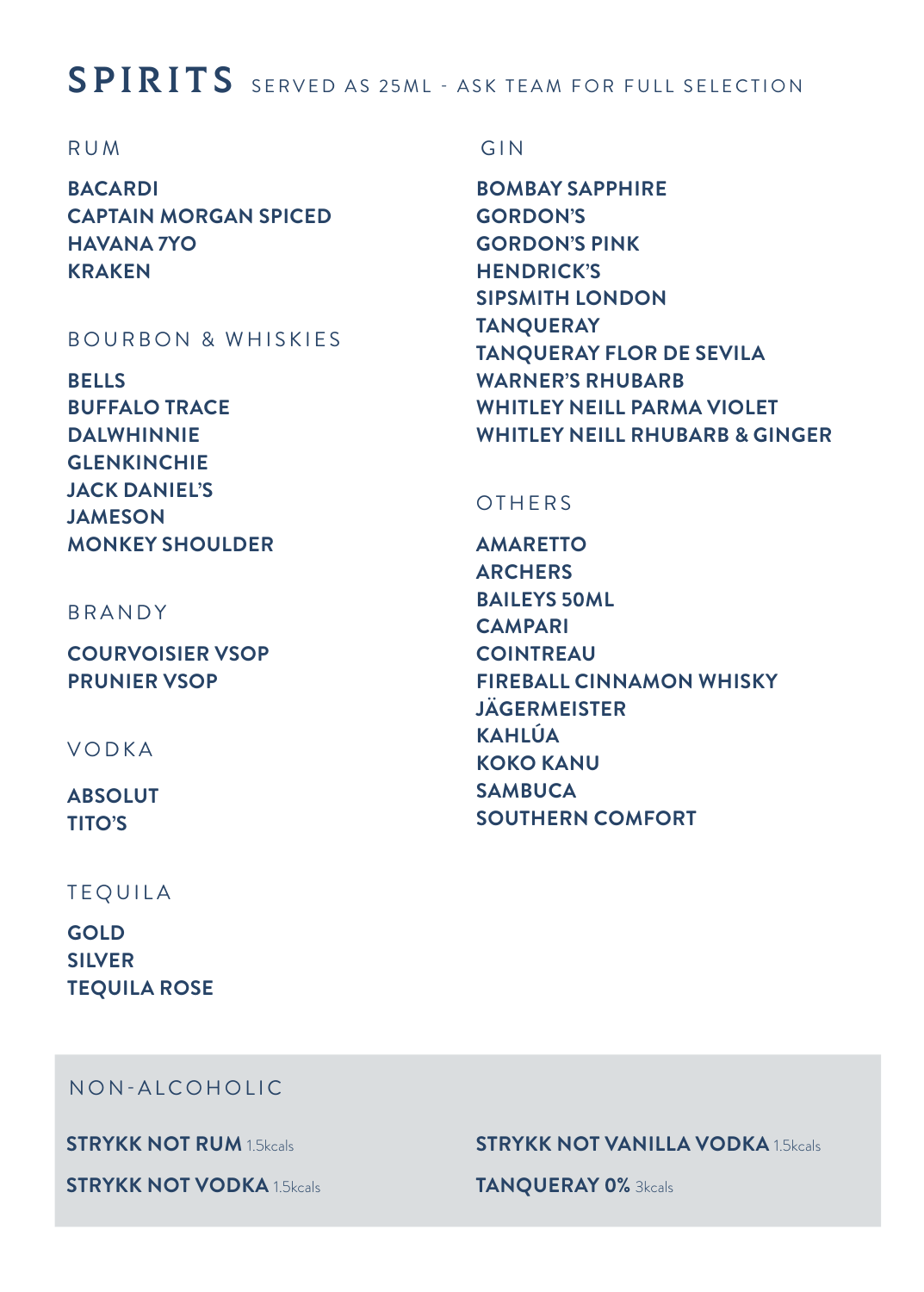## SPIRITS SERVED AS 25ML - ASK TEAM FOR FULL SELECTION

#### RUM

**BACARDI CAPTAIN MORGAN SPICED HAVANA 7YO KRAKEN**

#### BOURBON & WHISKIES

**BELLS BUFFALO TRACE DALWHINNIE GLENKINCHIE JACK DANIEL'S JAMESON MONKEY SHOULDER**

BRANDY

**COURVOISIER VSOP PRUNIER VSOP**

VODKA

**ABSOLUT TITO'S**

#### TEQUILA

**GOLD SILVER TEQUILA ROSE**

## GIN

**BOMBAY SAPPHIRE GORDON'S GORDON'S PINK HENDRICK'S SIPSMITH LONDON TANQUERAY TANQUERAY FLOR DE SEVILA WARNER'S RHUBARB WHITLEY NEILL PARMA VIOLET WHITLEY NEILL RHUBARB & GINGER**

#### **OTHERS**

**AMARETTO ARCHERS BAILEYS 50ML CAMPARI COINTREAU FIREBALL CINNAMON WHISKY JÄGERMEISTER KAHLÚA KOKO KANU SAMBUCA SOUTHERN COMFORT**

NON-ALCOHOLIC

**STRYKK NOT RUM** 1.5kcals

**STRYKK NOT VODKA** 1.5kcals

#### **STRYKK NOT VANILLA VODKA** 1.5kcals

**TANQUERAY 0%** 3kcals